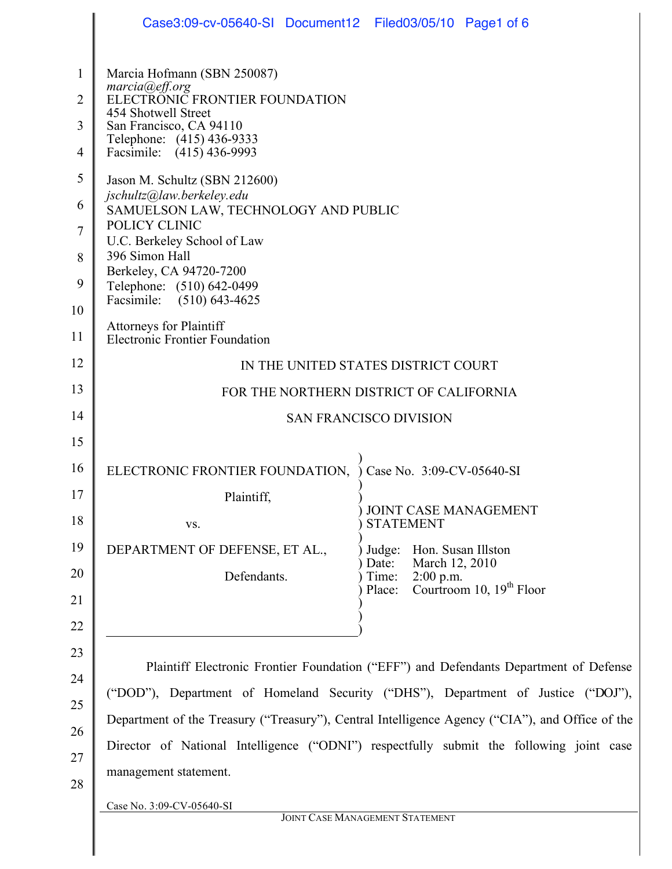|                                                       | Case3:09-cv-05640-SI Document12 Filed03/05/10 Page1 of 6                                                                                                                                    |                                                                                                                                                                                                                                                                                                                                                                                                                   |  |  |
|-------------------------------------------------------|---------------------------------------------------------------------------------------------------------------------------------------------------------------------------------------------|-------------------------------------------------------------------------------------------------------------------------------------------------------------------------------------------------------------------------------------------------------------------------------------------------------------------------------------------------------------------------------------------------------------------|--|--|
| $\mathbf{1}$<br>$\overline{2}$<br>3<br>$\overline{4}$ | Marcia Hofmann (SBN 250087)<br>marcia@eff.org<br>ELECTRONIC FRONTIER FOUNDATION<br>454 Shotwell Street<br>San Francisco, CA 94110<br>Telephone: (415) 436-9333<br>Facsimile: (415) 436-9993 |                                                                                                                                                                                                                                                                                                                                                                                                                   |  |  |
| 5                                                     | Jason M. Schultz (SBN 212600)                                                                                                                                                               |                                                                                                                                                                                                                                                                                                                                                                                                                   |  |  |
| 6                                                     | jschultz@law.berkeley.edu<br>SAMUELSON LAW, TECHNOLOGY AND PUBLIC<br>POLICY CLINIC<br>U.C. Berkeley School of Law                                                                           |                                                                                                                                                                                                                                                                                                                                                                                                                   |  |  |
| 7                                                     |                                                                                                                                                                                             |                                                                                                                                                                                                                                                                                                                                                                                                                   |  |  |
| 8                                                     | 396 Simon Hall<br>Berkeley, CA 94720-7200<br>Telephone: (510) 642-0499<br>Facsimile: (510) 643-4625                                                                                         |                                                                                                                                                                                                                                                                                                                                                                                                                   |  |  |
| 9<br>10                                               |                                                                                                                                                                                             |                                                                                                                                                                                                                                                                                                                                                                                                                   |  |  |
| 11                                                    | Attorneys for Plaintiff<br><b>Electronic Frontier Foundation</b>                                                                                                                            |                                                                                                                                                                                                                                                                                                                                                                                                                   |  |  |
| 12                                                    | IN THE UNITED STATES DISTRICT COURT                                                                                                                                                         |                                                                                                                                                                                                                                                                                                                                                                                                                   |  |  |
| 13                                                    | FOR THE NORTHERN DISTRICT OF CALIFORNIA                                                                                                                                                     |                                                                                                                                                                                                                                                                                                                                                                                                                   |  |  |
| 14                                                    | <b>SAN FRANCISCO DIVISION</b>                                                                                                                                                               |                                                                                                                                                                                                                                                                                                                                                                                                                   |  |  |
| 15                                                    |                                                                                                                                                                                             |                                                                                                                                                                                                                                                                                                                                                                                                                   |  |  |
| 16                                                    | ELECTRONIC FRONTIER FOUNDATION,                                                                                                                                                             | Case No. 3:09-CV-05640-SI                                                                                                                                                                                                                                                                                                                                                                                         |  |  |
| 17<br>18                                              | Plaintiff,<br>VS.                                                                                                                                                                           | JOINT CASE MANAGEMENT<br><b>STATEMENT</b>                                                                                                                                                                                                                                                                                                                                                                         |  |  |
| 19                                                    | DEPARTMENT OF DEFENSE, ET AL.,                                                                                                                                                              | Hon. Susan Illston<br>Judge:                                                                                                                                                                                                                                                                                                                                                                                      |  |  |
| 20                                                    | Defendants.                                                                                                                                                                                 | March 12, 2010<br>Date:<br>$2:00$ p.m.<br>Time:                                                                                                                                                                                                                                                                                                                                                                   |  |  |
| 21                                                    |                                                                                                                                                                                             | Courtroom 10, 19 <sup>th</sup> Floor<br>Place:                                                                                                                                                                                                                                                                                                                                                                    |  |  |
| 22                                                    |                                                                                                                                                                                             |                                                                                                                                                                                                                                                                                                                                                                                                                   |  |  |
| 23<br>24<br>25<br>26<br>27<br>28                      | management statement.<br>Case No. 3:09-CV-05640-SI                                                                                                                                          | Plaintiff Electronic Frontier Foundation ("EFF") and Defendants Department of Defense<br>("DOD"), Department of Homeland Security ("DHS"), Department of Justice ("DOJ"),<br>Department of the Treasury ("Treasury"), Central Intelligence Agency ("CIA"), and Office of the<br>Director of National Intelligence ("ODNI") respectfully submit the following joint case<br><b>JOINT CASE MANAGEMENT STATEMENT</b> |  |  |
|                                                       |                                                                                                                                                                                             |                                                                                                                                                                                                                                                                                                                                                                                                                   |  |  |

 $\parallel$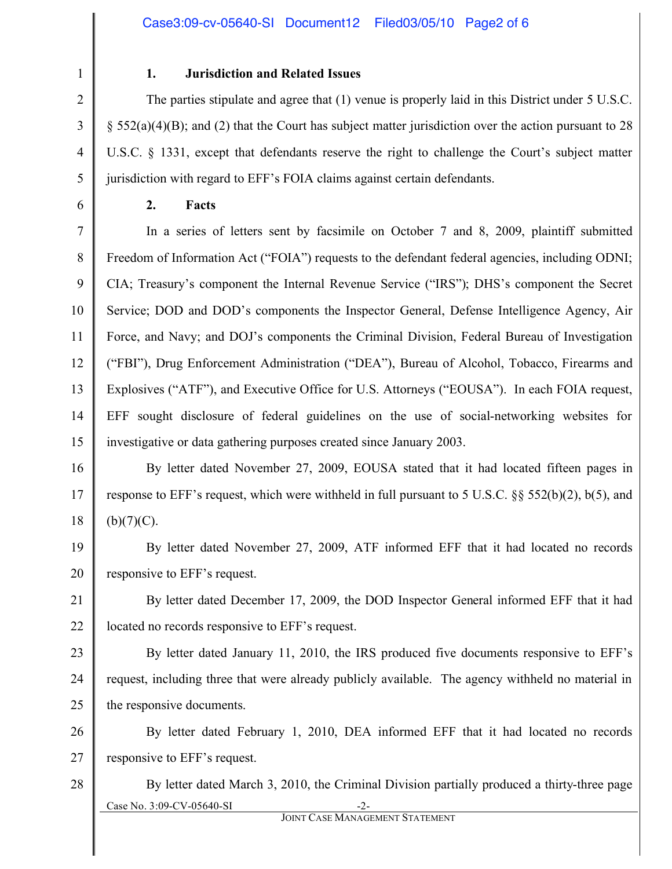1

 $\mathcal{L}$ 

3

4

5

6

28

### **1. Jurisdiction and Related Issues**

The parties stipulate and agree that (1) venue is properly laid in this District under 5 U.S.C.  $\S$  552(a)(4)(B); and (2) that the Court has subject matter jurisdiction over the action pursuant to 28 U.S.C. § 1331, except that defendants reserve the right to challenge the Court's subject matter jurisdiction with regard to EFF's FOIA claims against certain defendants.

### **2. Facts**

7 8 9 10 11 12 13 14 15 In a series of letters sent by facsimile on October 7 and 8, 2009, plaintiff submitted Freedom of Information Act ("FOIA") requests to the defendant federal agencies, including ODNI; CIA; Treasury's component the Internal Revenue Service ("IRS"); DHS's component the Secret Service; DOD and DOD's components the Inspector General, Defense Intelligence Agency, Air Force, and Navy; and DOJ's components the Criminal Division, Federal Bureau of Investigation ("FBI"), Drug Enforcement Administration ("DEA"), Bureau of Alcohol, Tobacco, Firearms and Explosives ("ATF"), and Executive Office for U.S. Attorneys ("EOUSA"). In each FOIA request, EFF sought disclosure of federal guidelines on the use of social-networking websites for investigative or data gathering purposes created since January 2003.

16 17 18 By letter dated November 27, 2009, EOUSA stated that it had located fifteen pages in response to EFF's request, which were withheld in full pursuant to 5 U.S.C. §§ 552(b)(2), b(5), and  $(b)(7)(C)$ .

19 20 By letter dated November 27, 2009, ATF informed EFF that it had located no records responsive to EFF's request.

21 22 By letter dated December 17, 2009, the DOD Inspector General informed EFF that it had located no records responsive to EFF's request.

23 24 25 By letter dated January 11, 2010, the IRS produced five documents responsive to EFF's request, including three that were already publicly available. The agency withheld no material in the responsive documents.

26 27 By letter dated February 1, 2010, DEA informed EFF that it had located no records responsive to EFF's request.

Case No. 3:09-CV-05640-SI By letter dated March 3, 2010, the Criminal Division partially produced a thirty-three page

JOINT CASE MANAGEMENT STATEMENT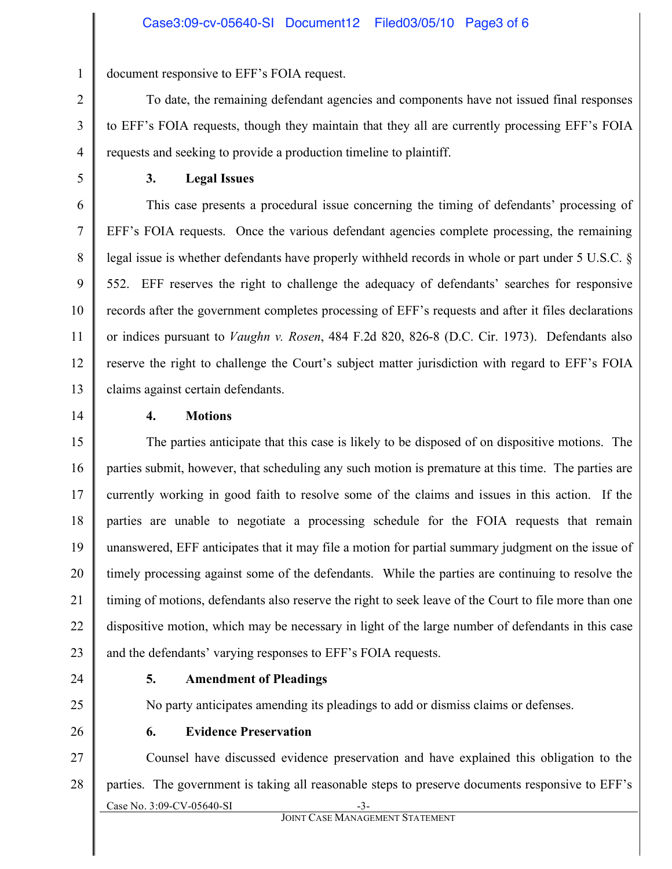document responsive to EFF's FOIA request.

To date, the remaining defendant agencies and components have not issued final responses to EFF's FOIA requests, though they maintain that they all are currently processing EFF's FOIA requests and seeking to provide a production timeline to plaintiff.

**3. Legal Issues**

This case presents a procedural issue concerning the timing of defendants' processing of EFF's FOIA requests. Once the various defendant agencies complete processing, the remaining legal issue is whether defendants have properly withheld records in whole or part under 5 U.S.C. § 552. EFF reserves the right to challenge the adequacy of defendants' searches for responsive records after the government completes processing of EFF's requests and after it files declarations or indices pursuant to *Vaughn v. Rosen*, 484 F.2d 820, 826-8 (D.C. Cir. 1973). Defendants also reserve the right to challenge the Court's subject matter jurisdiction with regard to EFF's FOIA claims against certain defendants.

14 15 16

### **4. Motions**

23 The parties anticipate that this case is likely to be disposed of on dispositive motions. The parties submit, however, that scheduling any such motion is premature at this time. The parties are currently working in good faith to resolve some of the claims and issues in this action. If the parties are unable to negotiate a processing schedule for the FOIA requests that remain unanswered, EFF anticipates that it may file a motion for partial summary judgment on the issue of timely processing against some of the defendants. While the parties are continuing to resolve the timing of motions, defendants also reserve the right to seek leave of the Court to file more than one dispositive motion, which may be necessary in light of the large number of defendants in this case and the defendants' varying responses to EFF's FOIA requests.

24

25

### **5. Amendment of Pleadings**

No party anticipates amending its pleadings to add or dismiss claims or defenses.

26

### **6. Evidence Preservation**

Case No. 3:09-CV-05640-SI JOINT CASE MANAGEMENT STATEMENT 27 28 Counsel have discussed evidence preservation and have explained this obligation to the parties. The government is taking all reasonable steps to preserve documents responsive to EFF's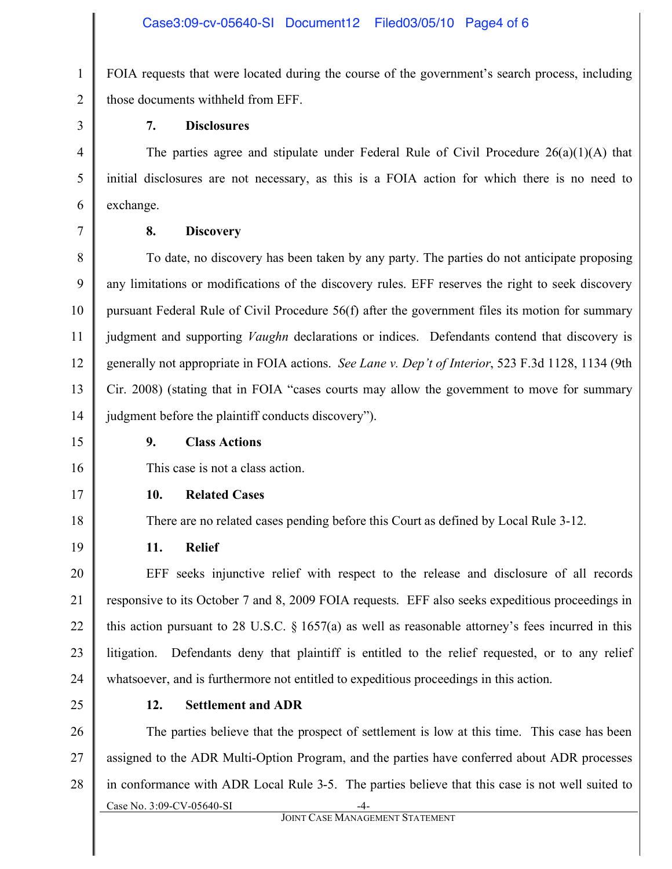FOIA requests that were located during the course of the government's search process, including those documents withheld from EFF.

### **7. Disclosures**

The parties agree and stipulate under Federal Rule of Civil Procedure  $26(a)(1)(A)$  that initial disclosures are not necessary, as this is a FOIA action for which there is no need to exchange.

### **8. Discovery**

To date, no discovery has been taken by any party. The parties do not anticipate proposing any limitations or modifications of the discovery rules. EFF reserves the right to seek discovery pursuant Federal Rule of Civil Procedure 56(f) after the government files its motion for summary judgment and supporting *Vaughn* declarations or indices. Defendants contend that discovery is generally not appropriate in FOIA actions. *See Lane v. Dep't of Interior*, 523 F.3d 1128, 1134 (9th Cir. 2008) (stating that in FOIA "cases courts may allow the government to move for summary judgment before the plaintiff conducts discovery").

### **9. Class Actions**

This case is not a class action.

### **10. Related Cases**

There are no related cases pending before this Court as defined by Local Rule 3-12.

**11. Relief**

EFF seeks injunctive relief with respect to the release and disclosure of all records responsive to its October 7 and 8, 2009 FOIA requests. EFF also seeks expeditious proceedings in this action pursuant to 28 U.S.C.  $\S 1657(a)$  as well as reasonable attorney's fees incurred in this litigation. Defendants deny that plaintiff is entitled to the relief requested, or to any relief whatsoever, and is furthermore not entitled to expeditious proceedings in this action.

25

## **12. Settlement and ADR**

Case No. 3:09-CV-05640-SI 26 27 28 The parties believe that the prospect of settlement is low at this time. This case has been assigned to the ADR Multi-Option Program, and the parties have conferred about ADR processes in conformance with ADR Local Rule 3-5. The parties believe that this case is not well suited to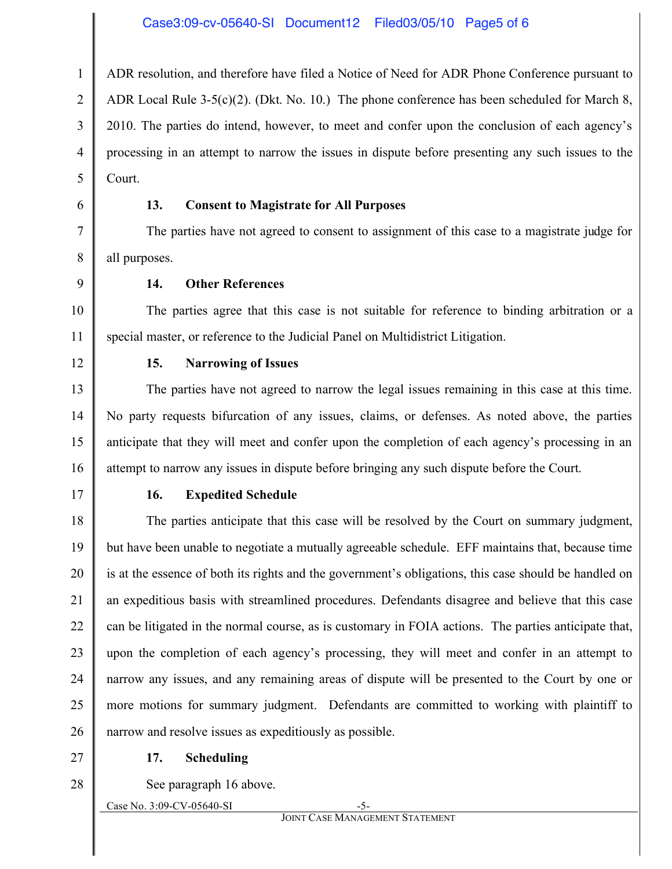ADR resolution, and therefore have filed a Notice of Need for ADR Phone Conference pursuant to ADR Local Rule 3-5(c)(2). (Dkt. No. 10.) The phone conference has been scheduled for March 8, 2010. The parties do intend, however, to meet and confer upon the conclusion of each agency's processing in an attempt to narrow the issues in dispute before presenting any such issues to the Court.

### **13. Consent to Magistrate for All Purposes**

The parties have not agreed to consent to assignment of this case to a magistrate judge for all purposes.

**14. Other References**

The parties agree that this case is not suitable for reference to binding arbitration or a special master, or reference to the Judicial Panel on Multidistrict Litigation.

12

1

2

3

4

5

6

7

8

9

10

11

### **15. Narrowing of Issues**

13 14 15 16 The parties have not agreed to narrow the legal issues remaining in this case at this time. No party requests bifurcation of any issues, claims, or defenses. As noted above, the parties anticipate that they will meet and confer upon the completion of each agency's processing in an attempt to narrow any issues in dispute before bringing any such dispute before the Court.

17

### **16. Expedited Schedule**

18 19 20 21 22 23 24 25 26 The parties anticipate that this case will be resolved by the Court on summary judgment, but have been unable to negotiate a mutually agreeable schedule. EFF maintains that, because time is at the essence of both its rights and the government's obligations, this case should be handled on an expeditious basis with streamlined procedures. Defendants disagree and believe that this case can be litigated in the normal course, as is customary in FOIA actions. The parties anticipate that, upon the completion of each agency's processing, they will meet and confer in an attempt to narrow any issues, and any remaining areas of dispute will be presented to the Court by one or more motions for summary judgment. Defendants are committed to working with plaintiff to narrow and resolve issues as expeditiously as possible.

27

### **17. Scheduling**

28

See paragraph 16 above.

Case No. 3:09-CV-05640-SI